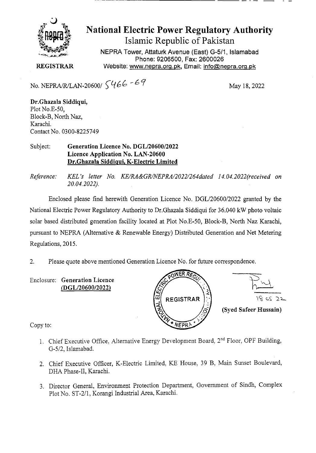

## National Electric Power Regulatory Authority

Islamic Republic of Pakistan

**NEPRA Tower, Attaturk Avenue (East)** G-511, **Islamabad Phone: 9206500, Fax: 2600026 REGISTRAR** Website: www.nepra.org.pk, Email: info@nepra.org.pk

No. NEPRA/R/LAN-20600/  $\sqrt{466 - 67}$  May 18, 2022

**Dr.Ghazala Siddiqui,**  Plot No.E-50, Block-B, North Naz, Karachi. Contact No. 03 00-8225749

Subject: **Generation Licence No.** *DGL12060012022*  **Licence Application No. LAN-20600 Dr.Ghazala Siddiqui, K-Electric Limited** 

*Reference: KEL 's letter No. KE/RA&GR/NEPRA/2022/264dated 14. 04.2022(eceived on 20.04.2022).* 

Enclosed please find herewith Generation Licence No. DGL/20600/2022 granted by the National Electric Power Regulatory Authority to Dr.Ghazala Siddiqui for 36.040 kW photo voltaic solar based distributed generation facility located at Plot No.E-50, Block-B, North Naz Karachi, pursuant to NEPRA (Alternative & Renewable Energy) Distributed Generation and Net Metering Regulations, 2015.

2. Please quote above mentioned Generation Licence No. for future correspondence.

Enclosure: Generation Licence *(DGL12060012022)* 



Copy to:

- 1. Chief Executive Office, Alternative Energy Development Board, 2<sup>nd</sup> Floor, OPF Building, G-5/2, Islamabad.
- 2. Chief Executive Officer, K-Electric Limited, KE House, 39 B, Main Sunset Boulevard, DHA Phase-Il, Karachi.
- 3. Director General, Enviromnent Protection Department, Government of Sindh, Complex Plot No. ST-2/1, Korangi Industrial Area, Karachi.